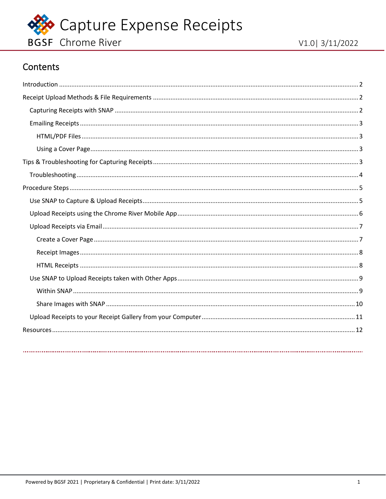

## Contents

<span id="page-0-0"></span>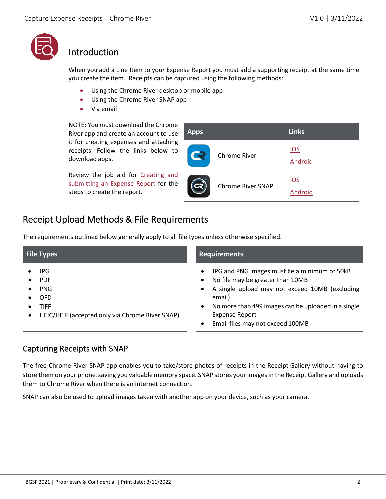

## <span id="page-1-0"></span>Introduction

When you add a Line Item to your Expense Report you must add a supporting receipt at the same time you create the item. Receipts can be captured using the following methods:

- Using the Chrome River desktop or mobile app
- Using the Chrome River SNAP app
- Via email

NOTE: You must download the Chrome River app and create an account to use it for creating expenses and attaching receipts. Follow the links below to download apps.

Review the job aid for [Creating and](#page-11-0)  [submitting an Expense Report](#page-11-0) for the steps to create the report.

| <b>Apps</b> |                          | <b>Links</b>   |
|-------------|--------------------------|----------------|
| R           | <b>Chrome River</b>      | iOS<br>Android |
| R           | <b>Chrome River SNAP</b> | iOS<br>Android |

## <span id="page-1-1"></span>Receipt Upload Methods & File Requirements

The requirements outlined below generally apply to all file types unless otherwise specified.

| <b>File Types</b>                                                                                        | <b>Requirements</b>                                                                                                                                                                                                                                                                                                  |  |  |
|----------------------------------------------------------------------------------------------------------|----------------------------------------------------------------------------------------------------------------------------------------------------------------------------------------------------------------------------------------------------------------------------------------------------------------------|--|--|
| JPG<br><b>PDF</b><br><b>PNG</b><br><b>OFD</b><br>TIFF<br>HEIC/HEIF (accepted only via Chrome River SNAP) | JPG and PNG images must be a minimum of 50kB<br>$\bullet$<br>No file may be greater than 10MB<br>$\bullet$<br>A single upload may not exceed 10MB (excluding<br>$\bullet$<br>email)<br>No more than 499 images can be uploaded in a single<br>$\bullet$<br><b>Expense Report</b><br>Email files may not exceed 100MB |  |  |

#### <span id="page-1-2"></span>Capturing Receipts with SNAP

The free Chrome River SNAP app enables you to take/store photos of receipts in the Receipt Gallery without having to store them on your phone, saving you valuable memory space. SNAP stores your images in the Receipt Gallery and uploads them to Chrome River when there is an internet connection.

SNAP can also be used to upload images taken with another app on your device, such as your camera.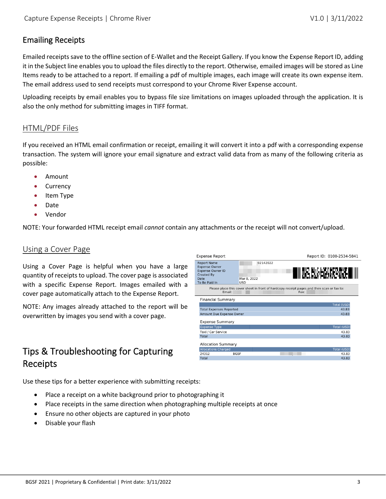#### <span id="page-2-0"></span>Emailing Receipts

Emailed receipts save to the offline section of E-Wallet and the Receipt Gallery. If you know the Expense Report ID, adding it in the Subject line enables you to upload the files directly to the report. Otherwise, emailed images will be stored as Line Items ready to be attached to a report. If emailing a pdf of multiple images, each image will create its own expense item. The email address used to send receipts must correspond to your Chrome River Expense account.

Uploading receipts by email enables you to bypass file size limitations on images uploaded through the application. It is also the only method for submitting images in TIFF format.

#### <span id="page-2-1"></span>HTML/PDF Files

If you received an HTML email confirmation or receipt, emailing it will convert it into a pdf with a corresponding expense transaction. The system will ignore your email signature and extract valid data from as many of the following criteria as possible:

- Amount
- **Currency**
- Item Type
- Date
- **Vendor**

NOTE: Your forwarded HTML receipt email *cannot* contain any attachments or the receipt will not convert/upload.

#### <span id="page-2-2"></span>Using a Cover Page

Using a Cover Page is helpful when you have a large quantity of receipts to upload. The cover page is associated with a specific Expense Report. Images emailed with a cover page automatically attach to the Expense Report.

NOTE: Any images already attached to the report will be overwritten by images you send with a cover page.

## <span id="page-2-3"></span>Tips & Troubleshooting for Capturing Receipts



Use these tips for a better experience with submitting receipts:

- Place a receipt on a white background prior to photographing it
- Place receipts in the same direction when photographing multiple receipts at once
- Ensure no other objects are captured in your photo
- Disable your flash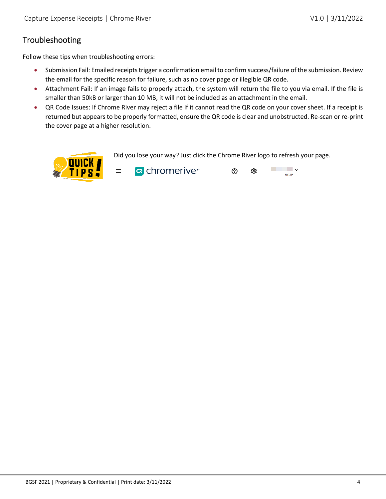### <span id="page-3-0"></span>Troubleshooting

Follow these tips when troubleshooting errors:

- Submission Fail: Emailed receipts trigger a confirmation email to confirm success/failure of the submission. Review the email for the specific reason for failure, such as no cover page or illegible QR code.
- Attachment Fail: If an image fails to properly attach, the system will return the file to you via email. If the file is smaller than 50kB or larger than 10 MB, it will not be included as an attachment in the email.
- QR Code Issues: If Chrome River may reject a file if it cannot read the QR code on your cover sheet. If a receipt is returned but appears to be properly formatted, ensure the QR code is clear and unobstructed. Re-scan or re-print the cover page at a higher resolution.

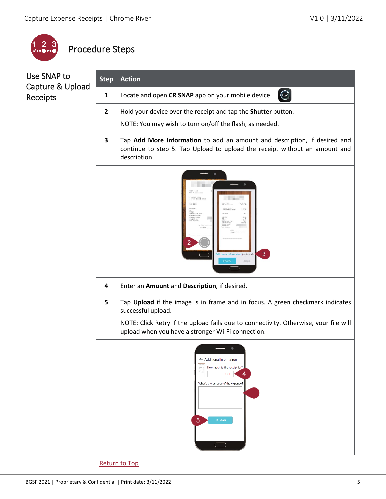

# <span id="page-4-0"></span>Procedure Steps

## <span id="page-4-1"></span>Use SNAP to Capture & Upload Receipts

| <b>Step</b>    | <b>Action</b>                                                                                                                                                           |  |  |
|----------------|-------------------------------------------------------------------------------------------------------------------------------------------------------------------------|--|--|
| 1              | $\mathbf{G}$<br>Locate and open CR SNAP app on your mobile device.                                                                                                      |  |  |
| $\overline{2}$ | Hold your device over the receipt and tap the Shutter button.<br>NOTE: You may wish to turn on/off the flash, as needed.                                                |  |  |
| 3              | Tap Add More Information to add an amount and description, if desired and<br>continue to step 5. Tap Upload to upload the receipt without an amount and<br>description. |  |  |
|                | <b>IGRIZATIO</b><br>3<br>Add more information (optional)<br><b>UPLOAD</b><br>Retake                                                                                     |  |  |
| 4              | Enter an Amount and Description, if desired.                                                                                                                            |  |  |
| 5              | Tap Upload if the image is in frame and in focus. A green checkmark indicates<br>successful upload.                                                                     |  |  |
|                | NOTE: Click Retry if the upload fails due to connectivity. Otherwise, your file will<br>upload when you have a stronger Wi-Fi connection.                               |  |  |
|                | ← Additional Information<br>How much is the receipt for?<br>4<br><b>USD</b><br>What's the purpose of the expense?<br>5<br><b>UPLOAD</b>                                 |  |  |
|                | <b>Return to Top</b>                                                                                                                                                    |  |  |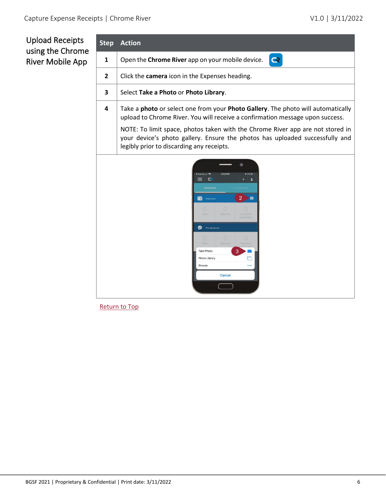## <span id="page-5-0"></span>Upload Receipts using the Chrome River Mobile App

| <b>Step</b>  | <b>Action</b>                                                                                                                                                                                               |  |  |  |
|--------------|-------------------------------------------------------------------------------------------------------------------------------------------------------------------------------------------------------------|--|--|--|
| $\mathbf{1}$ | Open the Chrome River app on your mobile device.<br>$\overline{\mathbf{R}}$                                                                                                                                 |  |  |  |
| 2            | Click the camera icon in the Expenses heading.                                                                                                                                                              |  |  |  |
| 3            | Select Take a Photo or Photo Library.                                                                                                                                                                       |  |  |  |
| 4            | Take a photo or select one from your Photo Gallery. The photo will automatically<br>upload to Chrome River. You will receive a confirmation message upon success.                                           |  |  |  |
|              | NOTE: To limit space, photos taken with the Chrome River app are not stored in<br>your device's photo gallery. Ensure the photos has uploaded successfully and<br>legibly prior to discarding any receipts. |  |  |  |
|              | 5:53 PM<br>421%1<br>$\mathsf{C}$<br>≡<br>ı<br><b>Dashboard</b><br>$\overline{\mathbf{c}}$<br>$\bullet$<br>Expenses<br>$\cup$<br>Pre-Approval<br><b>Take Photo</b><br>Photo Library<br>Browse<br><br>Cancel  |  |  |  |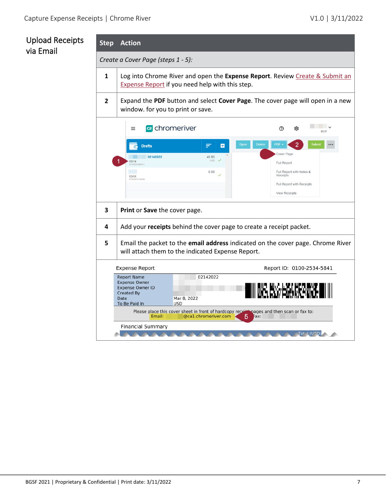## <span id="page-6-1"></span><span id="page-6-0"></span>Upload Receipts via Email

**Step Action**

*Create a Cover Page (steps 1 - 5):*

- **1** Log into Chrome River and open the **Expense Report**. Review Create & Submit an [Expense Report](#page-11-0) if you need help with this step.
- **2** Expand the **PDF** button and select **Cover Page**. The cover page will open in a new window. for you to print or save.

|                                                                                                                                            | <b>R</b> chromeriver<br>$\equiv$                                                                                                                      |                                                      | ⑦<br>છેડે             | <b>BGSF</b>                                                                               |        |
|--------------------------------------------------------------------------------------------------------------------------------------------|-------------------------------------------------------------------------------------------------------------------------------------------------------|------------------------------------------------------|-----------------------|-------------------------------------------------------------------------------------------|--------|
|                                                                                                                                            | <b>Drafts</b><br>02142022<br>02/14<br>010025345841                                                                                                    | ₹<br>B<br>43.83<br>$\cup$ <sub>5D</sub> $\checkmark$ | <b>Delete</b><br>Open | $\overline{2}$<br><b>PDF</b><br>Cover Page<br>Full Report                                 | Submit |
|                                                                                                                                            | 03/04<br>010025574889                                                                                                                                 | 0.00<br>$\checkmark$                                 |                       | Full Report with Notes &<br>Receipts<br>Full Report with Receipts<br><b>View Receipts</b> |        |
| 3                                                                                                                                          | Print or Save the cover page.                                                                                                                         |                                                      |                       |                                                                                           |        |
| 4                                                                                                                                          | Add your receipts behind the cover page to create a receipt packet.                                                                                   |                                                      |                       |                                                                                           |        |
| 5<br>Email the packet to the email address indicated on the cover page. Chrome River<br>will attach them to the indicated Expense Report.  |                                                                                                                                                       |                                                      |                       |                                                                                           |        |
|                                                                                                                                            | <b>Expense Report</b>                                                                                                                                 |                                                      |                       | Report ID: 0100-2534-5841                                                                 |        |
|                                                                                                                                            | 02142022<br><b>Report Name</b><br><b>Expense Owner</b><br><b>Expense Owner ID</b><br>Created By<br>Date<br>Mar 8, 2022<br>To Be Paid In<br><b>USD</b> |                                                      |                       |                                                                                           |        |
| Please place this cover sheet in front of hardcopy receiting pages and then scan or fax to:<br>@ca1.chromeriver.com<br>Email:<br>5<br>Fax: |                                                                                                                                                       |                                                      |                       |                                                                                           |        |
| <b>Financial Summary</b><br>Tot <sup>1</sup> (USD                                                                                          |                                                                                                                                                       |                                                      |                       |                                                                                           |        |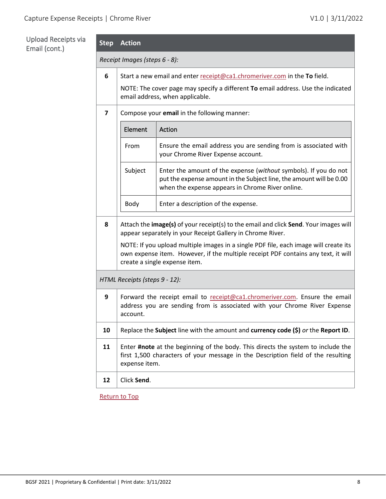#### <span id="page-7-0"></span>Upload Receipts via Email (cont.)

| Upload Receipts via<br>Email (cont.) | <b>Step</b>                   | <b>Action</b>                                                                                                                                                       |                                                                                                                                                                                                            |  |  |
|--------------------------------------|-------------------------------|---------------------------------------------------------------------------------------------------------------------------------------------------------------------|------------------------------------------------------------------------------------------------------------------------------------------------------------------------------------------------------------|--|--|
|                                      | Receipt Images (steps 6 - 8): |                                                                                                                                                                     |                                                                                                                                                                                                            |  |  |
|                                      | $\bf 6$                       | Start a new email and enter receipt@ca1.chromeriver.com in the To field.                                                                                            |                                                                                                                                                                                                            |  |  |
|                                      |                               |                                                                                                                                                                     | NOTE: The cover page may specify a different To email address. Use the indicated<br>email address, when applicable.                                                                                        |  |  |
|                                      | $\overline{\mathbf{z}}$       | Compose your email in the following manner:                                                                                                                         |                                                                                                                                                                                                            |  |  |
|                                      |                               | Element                                                                                                                                                             | Action                                                                                                                                                                                                     |  |  |
|                                      |                               | From                                                                                                                                                                | Ensure the email address you are sending from is associated with<br>your Chrome River Expense account.                                                                                                     |  |  |
|                                      |                               | Subject                                                                                                                                                             | Enter the amount of the expense (without symbols). If you do not<br>put the expense amount in the Subject line, the amount will be 0.00<br>when the expense appears in Chrome River online.                |  |  |
|                                      |                               | Body                                                                                                                                                                | Enter a description of the expense.                                                                                                                                                                        |  |  |
|                                      | 8                             |                                                                                                                                                                     | Attach the image(s) of your receipt(s) to the email and click Send. Your images will<br>appear separately in your Receipt Gallery in Chrome River.                                                         |  |  |
|                                      |                               |                                                                                                                                                                     | NOTE: If you upload multiple images in a single PDF file, each image will create its<br>own expense item. However, if the multiple receipt PDF contains any text, it will<br>create a single expense item. |  |  |
|                                      |                               | HTML Receipts (steps 9 - 12):                                                                                                                                       |                                                                                                                                                                                                            |  |  |
|                                      | 9                             | Forward the receipt email to receipt@ca1.chromeriver.com. Ensure the email<br>address you are sending from is associated with your Chrome River Expense<br>account. |                                                                                                                                                                                                            |  |  |
|                                      | 10                            |                                                                                                                                                                     | Replace the Subject line with the amount and currency code $(\xi)$ or the Report ID.                                                                                                                       |  |  |
|                                      | 11                            |                                                                                                                                                                     | Enter #note at the beginning of the body. This directs the system to include the<br>first 1,500 characters of your message in the Description field of the resulting                                       |  |  |

[Return to Top](#page-0-0)

**12** Click **Send**.

<span id="page-7-1"></span>expense item.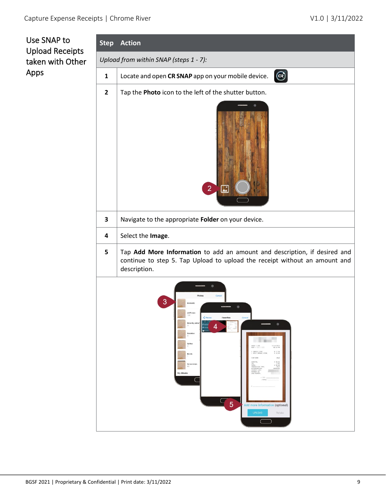<span id="page-8-1"></span><span id="page-8-0"></span>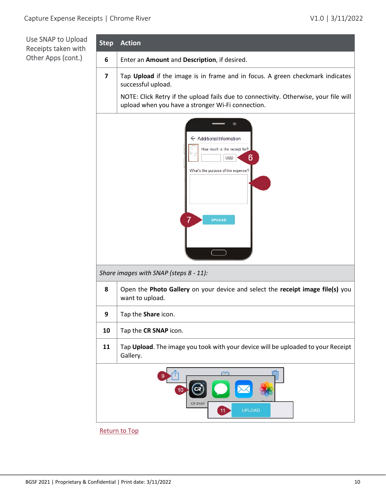<span id="page-9-0"></span>Use SNAP to Upload Receipts taken with Other Apps (cont.)

| <b>Step</b>                    | <b>Action</b>                                                                                                                             |  |  |  |
|--------------------------------|-------------------------------------------------------------------------------------------------------------------------------------------|--|--|--|
| 6                              | Enter an Amount and Description, if desired.                                                                                              |  |  |  |
| 7                              | Tap Upload if the image is in frame and in focus. A green checkmark indicates<br>successful upload.                                       |  |  |  |
|                                | NOTE: Click Retry if the upload fails due to connectivity. Otherwise, your file will<br>upload when you have a stronger Wi-Fi connection. |  |  |  |
|                                | ← Additional Information<br>How much is the receipt for?<br>6<br><b>USD</b><br>What's the purpose of the expense?<br><b>UPLOAD</b>        |  |  |  |
|                                | Share images with SNAP (steps 8 - 11):                                                                                                    |  |  |  |
| 8                              | Open the Photo Gallery on your device and select the receipt image file(s) you<br>want to upload.                                         |  |  |  |
| 9                              | Tap the <b>Share</b> icon.                                                                                                                |  |  |  |
| 10                             | Tap the CR SNAP icon.                                                                                                                     |  |  |  |
| 11                             | Tap Upload. The image you took with your device will be uploaded to your Receipt<br>Gallery.                                              |  |  |  |
| <b>CR SNAF</b><br>UPLOAD<br>11 |                                                                                                                                           |  |  |  |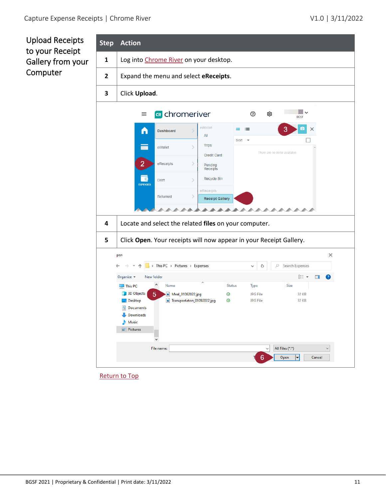<span id="page-10-0"></span>